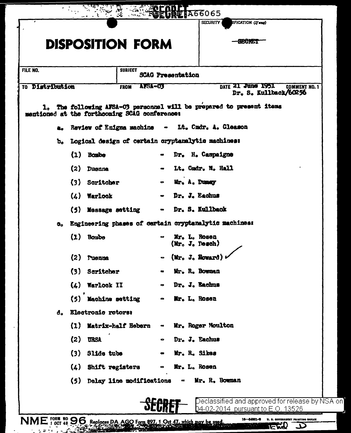|                 | <b>NA66065</b><br>IFICATION (If any)<br><b>SECURITY</b>                                                            |                                                  |
|-----------------|--------------------------------------------------------------------------------------------------------------------|--------------------------------------------------|
|                 | <b>SECTOR</b><br><b>DISPOSITION FORM</b>                                                                           |                                                  |
|                 |                                                                                                                    |                                                  |
| FILE NO.        | <b>SUBJECT</b><br><b>SCAG Presentation</b>                                                                         |                                                  |
| TO Distribution | DATE 21 June 1951<br>AFSA-03<br><b>FROM</b>                                                                        | <b>COMMENT NO. 1</b><br>Dr. S. Kullback/60256    |
| 1. L            | The following AFSA-03 personnel will be prepared to present items<br>mentioned at the forthcoming SCAG conference: |                                                  |
| a.,             | Review of Enigma machine<br>Lt. Cmdr. A. Gleason<br>$\bullet$                                                      |                                                  |
|                 | b. Logical design of certain oryptanalytic machines:                                                               |                                                  |
| $(1)$ Bombe     | Dr. H. Campaigne                                                                                                   |                                                  |
| (2)             | Lt. Cmdr. M. Hall<br>Duenna                                                                                        |                                                  |
|                 | Mr. A. Dumay<br>(3) Scritcher<br>$\bullet$                                                                         |                                                  |
|                 | Dr. J. Eachus<br>$(4)$ Warlock                                                                                     |                                                  |
|                 | Dr. S. Kullback<br>(5) Message setting                                                                             |                                                  |
| o.              | Engineering phases of certain cryptanalytic machines:                                                              |                                                  |
| $(1)$ Bombe     | Mr. L. Rosen<br>$(M_{\Gamma_0} J_{\bullet}$ Desch)                                                                 |                                                  |
| $(2)$ ruenna    | $\sim$ (Mr. J. Howard)                                                                                             |                                                  |
|                 | (3) Scritcher<br>Mr. R. Bowman                                                                                     |                                                  |
|                 | $(4)$ Warlock II<br>Dr. J. Bachus<br>$\bullet$                                                                     |                                                  |
|                 | (5) Machine setting<br>Mr. L. Rosen<br>$\bullet$                                                                   |                                                  |
| d.              | Electronic rotors:                                                                                                 |                                                  |
|                 | Mr. Roger Moulton<br>(1) Matrix-half Hebern<br>$\bullet$                                                           |                                                  |
| $(2)$ URSA      | Dr. J. Eachus<br>$\bullet$                                                                                         |                                                  |
|                 | $(3)$ Slide tube<br>Mr. R. Sikes                                                                                   |                                                  |
|                 | (4) Shift registers<br>Mr. L. Rosen<br>$\bullet$                                                                   |                                                  |
|                 | (5) Delay line modifications<br>$\sim$ Mr. R. Bowman                                                               |                                                  |
|                 |                                                                                                                    | Declassified and approved for release by NSA on] |
|                 | 04-02-2014 pursuant to E.O. 13526                                                                                  |                                                  |

 $NME$ , Form  $N996$ , Replaces DA AGO Form 897, 1 Oct 47, which may be used.

 $\mathcal{A}$ 

 $\overline{a}$ 

**TEMO D** ಿತ